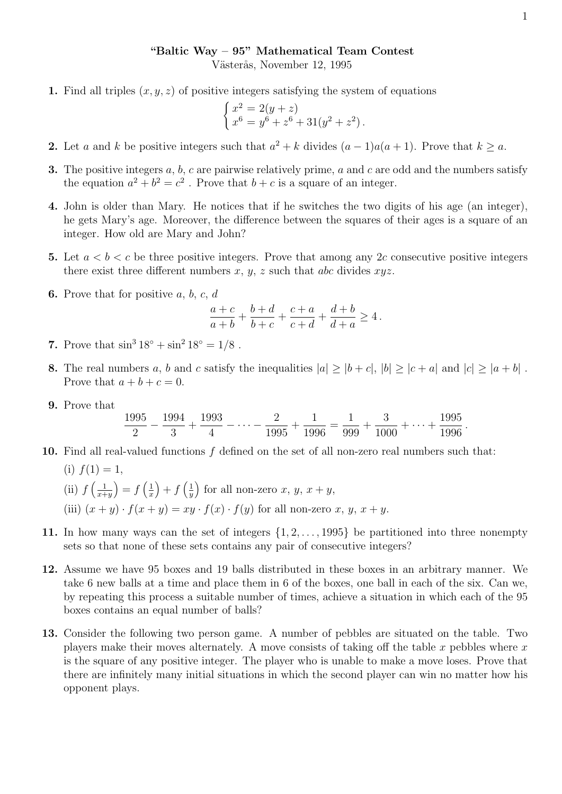## "Baltic Way – 95" Mathematical Team Contest

Västerås, November 12, 1995

1. Find all triples  $(x, y, z)$  of positive integers satisfying the system of equations

$$
\begin{cases}\nx^2 = 2(y+z) \\
x^6 = y^6 + z^6 + 31(y^2 + z^2).\n\end{cases}
$$

- 2. Let a and k be positive integers such that  $a^2 + k$  divides  $(a 1)a(a + 1)$ . Prove that  $k \ge a$ .
- **3.** The positive integers  $a, b, c$  are pairwise relatively prime,  $a$  and  $c$  are odd and the numbers satisfy the equation  $a^2 + b^2 = c^2$ . Prove that  $b + c$  is a square of an integer.
- 4. John is older than Mary. He notices that if he switches the two digits of his age (an integer), he gets Mary's age. Moreover, the difference between the squares of their ages is a square of an integer. How old are Mary and John?
- 5. Let  $a < b < c$  be three positive integers. Prove that among any 2c consecutive positive integers there exist three different numbers  $x, y, z$  such that abc divides  $xyz$ .
- **6.** Prove that for positive  $a, b, c, d$

$$
\frac{a+c}{a+b}+\frac{b+d}{b+c}+\frac{c+a}{c+d}+\frac{d+b}{d+a}\geq 4\,.
$$

- 7. Prove that  $\sin^3 18^\circ + \sin^2 18^\circ = 1/8$ .
- 8. The real numbers a, b and c satisfy the inequalities  $|a| \geq |b+c|$ ,  $|b| \geq |c+a|$  and  $|c| \geq |a+b|$ . Prove that  $a + b + c = 0$ .
- 9. Prove that

$$
\frac{1995}{2} - \frac{1994}{3} + \frac{1993}{4} - \dots - \frac{2}{1995} + \frac{1}{1996} = \frac{1}{999} + \frac{3}{1000} + \dots + \frac{1995}{1996}.
$$

- 10. Find all real-valued functions  $f$  defined on the set of all non-zero real numbers such that:
	- (i)  $f(1) = 1$ ,  $\left(\mathrm{ii}\right)$   $f\left(\frac{1}{x+1}\right)$  $\frac{1}{x+y}\Big) = f\left(\frac{1}{x}\right)$  $\frac{1}{x}$  + f  $\left(\frac{1}{y}\right)$  $\left(\frac{1}{y}\right)$  for all non-zero x, y,  $x + y$ , (iii)  $(x + y) \cdot f(x + y) = xy \cdot f(x) \cdot f(y)$  for all non-zero x, y,  $x + y$ .
- 11. In how many ways can the set of integers  $\{1, 2, \ldots, 1995\}$  be partitioned into three nonempty sets so that none of these sets contains any pair of consecutive integers?
- 12. Assume we have 95 boxes and 19 balls distributed in these boxes in an arbitrary manner. We take 6 new balls at a time and place them in 6 of the boxes, one ball in each of the six. Can we, by repeating this process a suitable number of times, achieve a situation in which each of the 95 boxes contains an equal number of balls?
- 13. Consider the following two person game. A number of pebbles are situated on the table. Two players make their moves alternately. A move consists of taking off the table x pebbles where  $x$ is the square of any positive integer. The player who is unable to make a move loses. Prove that there are infinitely many initial situations in which the second player can win no matter how his opponent plays.